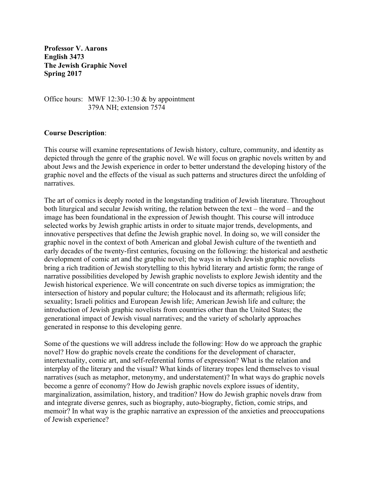**Professor V. Aarons English 3473 The Jewish Graphic Novel Spring 2017**

Office hours: MWF 12:30-1:30 & by appointment 379A NH; extension 7574

## **Course Description**:

This course will examine representations of Jewish history, culture, community, and identity as depicted through the genre of the graphic novel. We will focus on graphic novels written by and about Jews and the Jewish experience in order to better understand the developing history of the graphic novel and the effects of the visual as such patterns and structures direct the unfolding of narratives.

The art of comics is deeply rooted in the longstanding tradition of Jewish literature. Throughout both liturgical and secular Jewish writing, the relation between the text – the word – and the image has been foundational in the expression of Jewish thought. This course will introduce selected works by Jewish graphic artists in order to situate major trends, developments, and innovative perspectives that define the Jewish graphic novel. In doing so, we will consider the graphic novel in the context of both American and global Jewish culture of the twentieth and early decades of the twenty-first centuries, focusing on the following: the historical and aesthetic development of comic art and the graphic novel; the ways in which Jewish graphic novelists bring a rich tradition of Jewish storytelling to this hybrid literary and artistic form; the range of narrative possibilities developed by Jewish graphic novelists to explore Jewish identity and the Jewish historical experience. We will concentrate on such diverse topics as immigration; the intersection of history and popular culture; the Holocaust and its aftermath; religious life; sexuality; Israeli politics and European Jewish life; American Jewish life and culture; the introduction of Jewish graphic novelists from countries other than the United States; the generational impact of Jewish visual narratives; and the variety of scholarly approaches generated in response to this developing genre.

Some of the questions we will address include the following: How do we approach the graphic novel? How do graphic novels create the conditions for the development of character, intertextuality, comic art, and self-referential forms of expression? What is the relation and interplay of the literary and the visual? What kinds of literary tropes lend themselves to visual narratives (such as metaphor, metonymy, and understatement)? In what ways do graphic novels become a genre of economy? How do Jewish graphic novels explore issues of identity, marginalization, assimilation, history, and tradition? How do Jewish graphic novels draw from and integrate diverse genres, such as biography, auto-biography, fiction, comic strips, and memoir? In what way is the graphic narrative an expression of the anxieties and preoccupations of Jewish experience?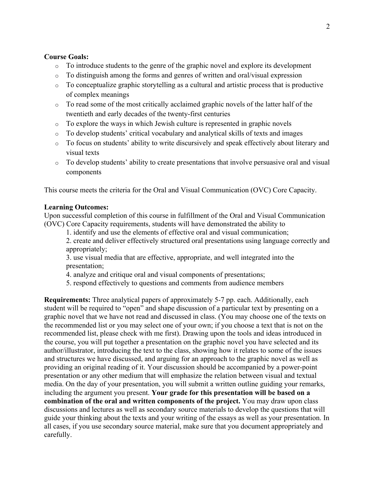## **Course Goals:**

- o To introduce students to the genre of the graphic novel and explore its development
- o To distinguish among the forms and genres of written and oral/visual expression
- o To conceptualize graphic storytelling as a cultural and artistic process that is productive of complex meanings
- o To read some of the most critically acclaimed graphic novels of the latter half of the twentieth and early decades of the twenty-first centuries
- o To explore the ways in which Jewish culture is represented in graphic novels
- o To develop students' critical vocabulary and analytical skills of texts and images
- o To focus on students' ability to write discursively and speak effectively about literary and visual texts
- o To develop students' ability to create presentations that involve persuasive oral and visual components

This course meets the criteria for the Oral and Visual Communication (OVC) Core Capacity.

## **Learning Outcomes:**

Upon successful completion of this course in fulfillment of the Oral and Visual Communication (OVC) Core Capacity requirements, students will have demonstrated the ability to

1. identify and use the elements of effective oral and visual communication;

2. create and deliver effectively structured oral presentations using language correctly and appropriately;

3. use visual media that are effective, appropriate, and well integrated into the presentation;

4. analyze and critique oral and visual components of presentations;

5. respond effectively to questions and comments from audience members

**Requirements:** Three analytical papers of approximately 5-7 pp. each. Additionally, each student will be required to "open" and shape discussion of a particular text by presenting on a graphic novel that we have not read and discussed in class. (You may choose one of the texts on the recommended list or you may select one of your own; if you choose a text that is not on the recommended list, please check with me first). Drawing upon the tools and ideas introduced in the course, you will put together a presentation on the graphic novel you have selected and its author/illustrator, introducing the text to the class, showing how it relates to some of the issues and structures we have discussed, and arguing for an approach to the graphic novel as well as providing an original reading of it. Your discussion should be accompanied by a power-point presentation or any other medium that will emphasize the relation between visual and textual media. On the day of your presentation, you will submit a written outline guiding your remarks, including the argument you present. **Your grade for this presentation will be based on a combination of the oral and written components of the project.** You may draw upon class discussions and lectures as well as secondary source materials to develop the questions that will guide your thinking about the texts and your writing of the essays as well as your presentation. In all cases, if you use secondary source material, make sure that you document appropriately and carefully.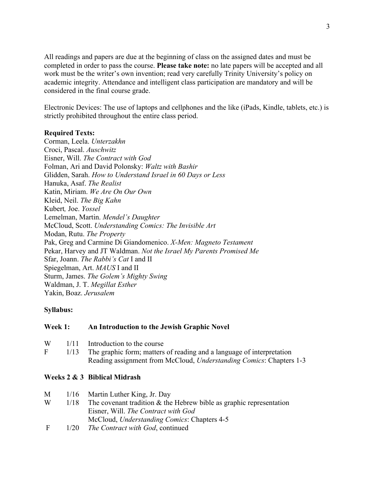All readings and papers are due at the beginning of class on the assigned dates and must be completed in order to pass the course. **Please take note:** no late papers will be accepted and all work must be the writer's own invention; read very carefully Trinity University's policy on academic integrity. Attendance and intelligent class participation are mandatory and will be considered in the final course grade.

Electronic Devices: The use of laptops and cellphones and the like (iPads, Kindle, tablets, etc.) is strictly prohibited throughout the entire class period.

### **Required Texts:**

Corman, Leela. *Unterzakhn* Croci, Pascal. *Auschwitz* Eisner, Will. *The Contract with God*  Folman, Ari and David Polonsky: *Waltz with Bashir* Glidden, Sarah. *How to Understand Israel in 60 Days or Less* Hanuka, Asaf. *The Realist* Katin, Miriam. *We Are On Our Own* Kleid, Neil. *The Big Kahn* Kubert*,* Joe. *Yossel* Lemelman, Martin. *Mendel's Daughter* McCloud, Scott. *Understanding Comics: The Invisible Art* Modan, Rutu. *The Property* Pak, Greg and Carmine Di Giandomenico. *X-Men: Magneto Testament* Pekar, Harvey and JT Waldman. *Not the Israel My Parents Promised Me* Sfar, Joann. *The Rabbi's Cat* I and II Spiegelman, Art. *MAUS* I and II Sturm, James. *The Golem's Mighty Swing* Waldman, J. T. *Megillat Esther* Yakin, Boaz. *Jerusalem*

## **Syllabus:**

#### **Week 1: An Introduction to the Jewish Graphic Novel**

- W 1/11 Introduction to the course
- F 1/13 The graphic form; matters of reading and a language of interpretation Reading assignment from McCloud, *Understanding Comics*: Chapters 1-3

### **Weeks 2 & 3 Biblical Midrash**

- M 1/16 Martin Luther King, Jr. Day
- W 1/18 The covenant tradition  $\&$  the Hebrew bible as graphic representation Eisner, Will. *The Contract with God* McCloud, *Understanding Comics*: Chapters 4-5
- F 1/20 *The Contract with God*, continued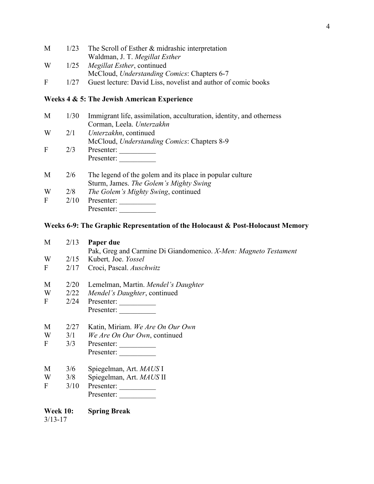| M  | 1/23 | The Scroll of Esther & midrashic interpretation               |
|----|------|---------------------------------------------------------------|
|    |      | Waldman, J. T. Megillat Esther                                |
| W  | 1/25 | <i>Megillat Esther</i> , continued                            |
|    |      | McCloud, <i>Understanding Comics</i> : Chapters 6-7           |
| E. | 1/27 | Guest lecture: David Liss, novelist and author of comic books |

# **Weeks 4 & 5: The Jewish American Experience**

| M            | 1/30 | Immigrant life, assimilation, acculturation, identity, and otherness |
|--------------|------|----------------------------------------------------------------------|
|              |      | Corman, Leela. Unterzakhn                                            |
| W            | 2/1  | Unterzakhn, continued                                                |
|              |      | McCloud, Understanding Comics: Chapters 8-9                          |
| $\mathbf F$  | 2/3  | Presenter:                                                           |
|              |      | Presenter:                                                           |
| M            | 2/6  | The legend of the golem and its place in popular culture             |
|              |      | Sturm, James. The Golem's Mighty Swing                               |
| W            | 2/8  | <i>The Golem's Mighty Swing, continued</i>                           |
| $\mathbf{F}$ | 2/10 | Presenter:                                                           |
|              |      | Presenter:                                                           |

## **Weeks 6-9: The Graphic Representation of the Holocaust & Post-Holocaust Memory**

| M                              | 2/13 | Paper due<br>Pak, Greg and Carmine Di Giandomenico. X-Men: Magneto Testament |
|--------------------------------|------|------------------------------------------------------------------------------|
| W                              |      | 2/15 Kubert, Joe. Yossel                                                     |
| $\mathbf{F}$                   | 2/17 | Croci, Pascal. Auschwitz                                                     |
| M                              | 2/20 | Lemelman, Martin. Mendel's Daughter                                          |
| W                              | 2/22 | Mendel's Daughter, continued                                                 |
| F                              | 2/24 | Presenter:                                                                   |
|                                |      | Presenter:                                                                   |
| M                              | 2/27 | Katin, Miriam. We Are On Our Own                                             |
| W                              | 3/1  | We Are On Our Own, continued                                                 |
| F                              | 3/3  | Presenter:                                                                   |
|                                |      | Presenter:                                                                   |
| M                              | 3/6  | Spiegelman, Art. <i>MAUS</i> I                                               |
| W                              | 3/8  | Spiegelman, Art. MAUS II                                                     |
| $\mathbf{F}$                   | 3/10 | Presenter:                                                                   |
|                                |      | Presenter:                                                                   |
| <b>Week 10:</b><br>$3/13 - 17$ |      | <b>Spring Break</b>                                                          |